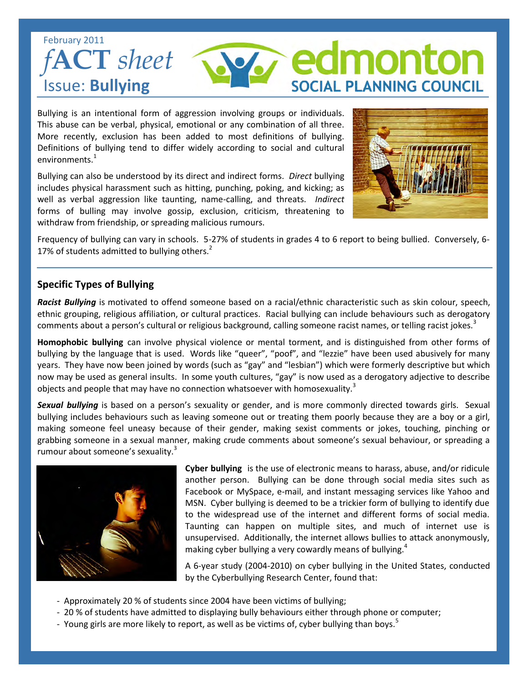## February 2011 *f***ACT** *sheet*  Issue: **Bullying**

Bullying is an intentional form of aggression involving groups or individuals. This abuse can be verbal, physical, emotional or any combination of all three. More recently, exclusion has been added to most definitions of bullying. Definitions of bullying tend to differ widely according to social and cultural environments.<sup>1</sup>

Bullying can also be understood by its direct and indirect forms. *Direct* bullying includes physical harassment such as hitting, punching, poking, and kicking; as well as verbal aggression like taunting, name-calling, and threats. *Indirect*  forms of bulling may involve gossip, exclusion, criticism, threatening to withdraw from friendship, or spreading malicious rumours.



nonto

**SOCIAL PLANNING COUNCIL** 

Frequency of bullying can vary in schools. 5-27% of students in grades 4 to 6 report to being bullied. Conversely, 6- 17% of students admitted to bullying others.<sup>2</sup>

## **Specific Types of Bullying**

*Racist Bullying* is motivated to offend someone based on a racial/ethnic characteristic such as skin colour, speech, ethnic grouping, religious affiliation, or cultural practices. Racial bullying can include behaviours such as derogatory comments about a person's cultural or religious background, calling someone racist names, or telling racist jokes.<sup>3</sup>

**Homophobic bullying** can involve physical violence or mental torment, and is distinguished from other forms of bullying by the language that is used. Words like "queer", "poof", and "lezzie" have been used abusively for many years. They have now been joined by words (such as "gay" and "lesbian") which were formerly descriptive but which now may be used as general insults. In some youth cultures, "gay" is now used as a derogatory adjective to describe objects and people that may have no connection whatsoever with homosexuality.<sup>3</sup>

*Sexual bullying* is based on a person's sexuality or gender, and is more commonly directed towards girls. Sexual bullying includes behaviours such as leaving someone out or treating them poorly because they are a boy or a girl, making someone feel uneasy because of their gender, making sexist comments or jokes, touching, pinching or grabbing someone in a sexual manner, making crude comments about someone's sexual behaviour, or spreading a rumour about someone's sexuality.<sup>3</sup>



**Cyber bullying** is the use of electronic means to harass, abuse, and/or ridicule another person. Bullying can be done through social media sites such as Facebook or MySpace, e-mail, and instant messaging services like Yahoo and MSN. Cyber bullying is deemed to be a trickier form of bullying to identify due to the widespread use of the internet and different forms of social media. Taunting can happen on multiple sites, and much of internet use is unsupervised. Additionally, the internet allows bullies to attack anonymously, making cyber bullying a very cowardly means of bullying.<sup>4</sup>

A 6-year study (2004-2010) on cyber bullying in the United States, conducted by the Cyberbullying Research Center, found that:

- Approximately 20 % of students since 2004 have been victims of bullying;
- 20 % of students have admitted to displaying bully behaviours either through phone or computer;
- Young girls are more likely to report, as well as be victims of, cyber bullying than boys.<sup>5</sup>